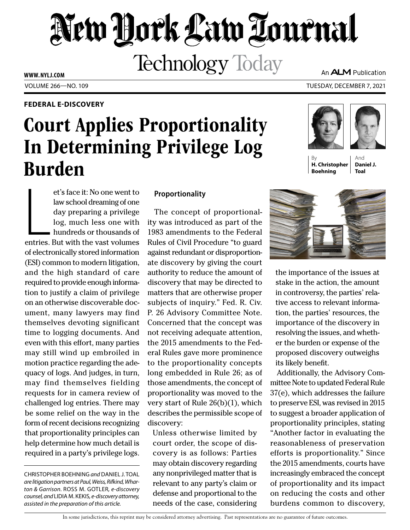# New York Law Tournal **Technology Today**

**WWW. NYLJ.COM**

# **FEDERAL E-DISCOVERY**

# Court Applies Proportionality In Determining Privilege Log Burden

et's face it: No one went to<br>law school dreaming of one<br>day preparing a privilege<br>log, much less one with<br>hundreds or thousands of<br>entries. But with the vast volumes et's face it: No one went to law school dreaming of one day preparing a privilege log, much less one with hundreds or thousands of of electronically stored information (ESI) common to modern litigation, and the high standard of care required to provide enough information to justify a claim of privilege on an otherwise discoverable document, many lawyers may find themselves devoting significant time to logging documents. And even with this effort, many parties may still wind up embroiled in motion practice regarding the adequacy of logs. And judges, in turn, may find themselves fielding requests for in camera review of challenged log entries. There may be some relief on the way in the form of recent decisions recognizing that proportionality principles can help determine how much detail is required in a party's privilege logs.

## **Proportionality**

The concept of proportionality was introduced as part of the 1983 amendments to the Federal Rules of Civil Procedure "to guard against redundant or disproportionate discovery by giving the court authority to reduce the amount of discovery that may be directed to matters that are otherwise proper subjects of inquiry." Fed. R. Civ. P. 26 Advisory Committee Note. Concerned that the concept was not receiving adequate attention, the 2015 amendments to the Federal Rules gave more prominence to the proportionality concepts long embedded in Rule 26; as of those amendments, the concept of proportionality was moved to the very start of Rule 26(b)(1), which describes the permissible scope of discovery:

Unless otherwise limited by court order, the scope of discovery is as follows: Parties may obtain discovery regarding any nonprivileged matter that is relevant to any party's claim or defense and proportional to the needs of the case, considering An **ALM** Publication

VOLUME 266—NO. 109 TUESDAY, DECEMBER 7, 2021



By **H. Christopher Boehning** 





Additionally, the Advisory Committee Note to updated Federal Rule 37(e), which addresses the failure to preserve ESI, was revised in 2015 to suggest a broader application of proportionality principles, stating "Another factor in evaluating the reasonableness of preservation efforts is proportionality." Since the 2015 amendments, courts have increasingly embraced the concept of proportionality and its impact on reducing the costs and other burdens common to discovery,

In some jurisdictions, this reprint may be considered attorney advertising. Past representations are no guarantee of future outcomes.

CHRISTOPHER BOEHNING *and* DANIEL J. TOAL *are litigation partners at Paul, Weiss, Rifkind, Wharton & Garrison.* ROSS M. GOTLER*, e-discovery counsel, and* LIDIA M. KEKIS*, e-discovery attorney, assisted in the preparation of this article.*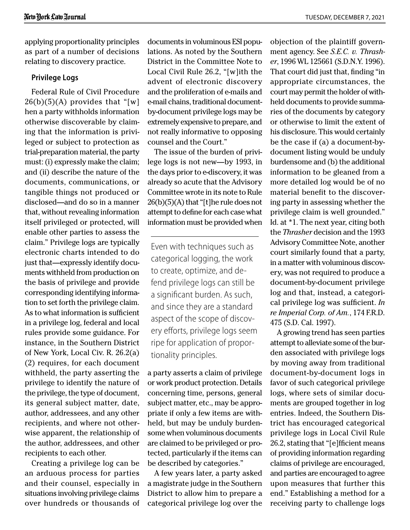applying proportionality principles as part of a number of decisions relating to discovery practice.

### **Privilege Logs**

Federal Rule of Civil Procedure  $26(b)(5)(A)$  provides that "[w] hen a party withholds information otherwise discoverable by claiming that the information is privileged or subject to protection as trial-preparation material, the party must: (i) expressly make the claim; and (ii) describe the nature of the documents, communications, or tangible things not produced or disclosed—and do so in a manner that, without revealing information itself privileged or protected, will enable other parties to assess the claim." Privilege logs are typically electronic charts intended to do just that—expressly identify documents withheld from production on the basis of privilege and provide corresponding identifying information to set forth the privilege claim. As to what information is sufficient in a privilege log, federal and local rules provide some guidance. For instance, in the Southern District of New York, Local Civ. R. 26.2(a) (2) requires, for each document withheld, the party asserting the privilege to identify the nature of the privilege, the type of document, its general subject matter, date, author, addressees, and any other recipients, and where not otherwise apparent, the relationship of the author, addressees, and other recipients to each other.

Creating a privilege log can be an arduous process for parties and their counsel, especially in situations involving privilege claims over hundreds or thousands of documents in voluminous ESI populations. As noted by the Southern District in the Committee Note to Local Civil Rule 26.2, "[w]ith the advent of electronic discovery and the proliferation of e-mails and e-mail chains, traditional documentby-document privilege logs may be extremely expensive to prepare, and not really informative to opposing counsel and the Court."

The issue of the burden of privilege logs is not new—by 1993, in the days prior to e-discovery, it was already so acute that the Advisory Committee wrote in its note to Rule  $26(b)(5)(A)$  that "[t]he rule does not attempt to define for each case what information must be provided when

Even with techniques such as categorical logging, the work to create, optimize, and defend privilege logs can still be a significant burden. As such, and since they are a standard aspect of the scope of discovery efforts, privilege logs seem ripe for application of proportionality principles.

a party asserts a claim of privilege or work product protection. Details concerning time, persons, general subject matter, etc., may be appropriate if only a few items are withheld, but may be unduly burdensome when voluminous documents are claimed to be privileged or protected, particularly if the items can be described by categories."

A few years later, a party asked a magistrate judge in the Southern District to allow him to prepare a categorical privilege log over the

objection of the plaintiff government agency. See *S.E.C. v. Thrasher*, 1996 WL 125661 (S.D.N.Y. 1996). That court did just that, finding "in appropriate circumstances, the court may permit the holder of withheld documents to provide summaries of the documents by category or otherwise to limit the extent of his disclosure. This would certainly be the case if (a) a document-bydocument listing would be unduly burdensome and (b) the additional information to be gleaned from a more detailed log would be of no material benefit to the discovering party in assessing whether the privilege claim is well grounded." Id. at \*1. The next year, citing both the *Thrasher* decision and the 1993 Advisory Committee Note, another court similarly found that a party, in a matter with voluminous discovery, was not required to produce a document-by-document privilege log and that, instead, a categorical privilege log was sufficient. *In re Imperial Corp. of Am.*, 174 F.R.D. 475 (S.D. Cal. 1997).

A growing trend has seen parties attempt to alleviate some of the burden associated with privilege logs by moving away from traditional document-by-document logs in favor of such categorical privilege logs, where sets of similar documents are grouped together in log entries. Indeed, the Southern District has encouraged categorical privilege logs in Local Civil Rule 26.2, stating that "[e]fficient means of providing information regarding claims of privilege are encouraged, and parties are encouraged to agree upon measures that further this end." Establishing a method for a receiving party to challenge logs